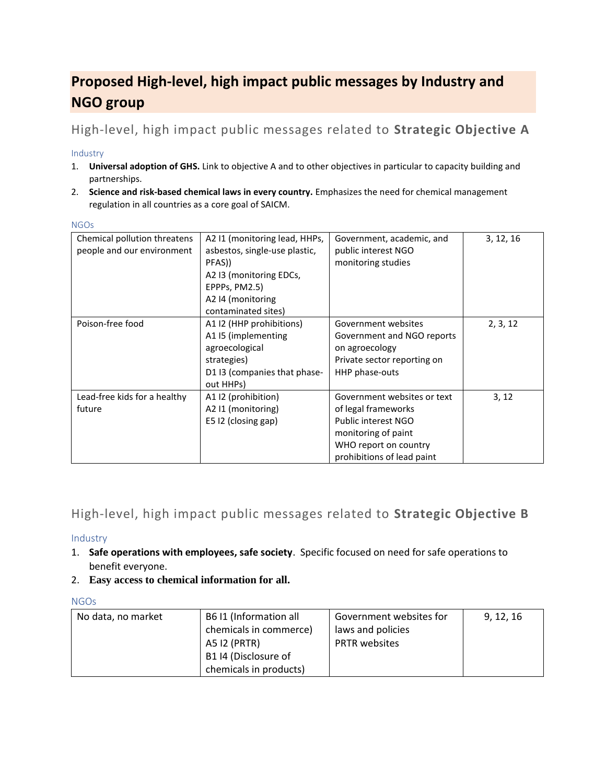# **Proposed High-level, high impact public messages by Industry and NGO group**

## High-level, high impact public messages related to **Strategic Objective A**

### Industry

- 1. **Universal adoption of GHS.** Link to objective A and to other objectives in particular to capacity building and partnerships.
- 2. **Science and risk-based chemical laws in every country.** Emphasizes the need for chemical management regulation in all countries as a core goal of SAICM.

| Chemical pollution threatens<br>people and our environment | A2 I1 (monitoring lead, HHPs,<br>asbestos, single-use plastic,<br>PFAS))<br>A2 13 (monitoring EDCs,<br>EPPPs, PM2.5)<br>A2 I4 (monitoring<br>contaminated sites) | Government, academic, and<br>public interest NGO<br>monitoring studies                                                                                  | 3, 12, 16 |
|------------------------------------------------------------|------------------------------------------------------------------------------------------------------------------------------------------------------------------|---------------------------------------------------------------------------------------------------------------------------------------------------------|-----------|
| Poison-free food                                           | A1 I2 (HHP prohibitions)<br>A1 I5 (implementing<br>agroecological<br>strategies)<br>D1 I3 (companies that phase-<br>out HHPs)                                    | Government websites<br>Government and NGO reports<br>on agroecology<br>Private sector reporting on<br>HHP phase-outs                                    | 2, 3, 12  |
| Lead-free kids for a healthy<br>future                     | A1 I2 (prohibition)<br>A2 I1 (monitoring)<br>E5 I2 (closing gap)                                                                                                 | Government websites or text<br>of legal frameworks<br>Public interest NGO<br>monitoring of paint<br>WHO report on country<br>prohibitions of lead paint | 3, 12     |

## High-level, high impact public messages related to **Strategic Objective B**

### Industry

- 1. **Safe operations with employees, safe society**. Specific focused on need for safe operations to benefit everyone.
- 2. **Easy access to chemical information for all.**

### **NGOs**

| No data, no market | B6 I1 (Information all | Government websites for | 9, 12, 16 |
|--------------------|------------------------|-------------------------|-----------|
|                    | chemicals in commerce) | laws and policies       |           |
|                    | A5 I2 (PRTR)           | <b>PRTR</b> websites    |           |
|                    | B1 I4 (Disclosure of   |                         |           |
|                    | chemicals in products) |                         |           |

#### NGOs